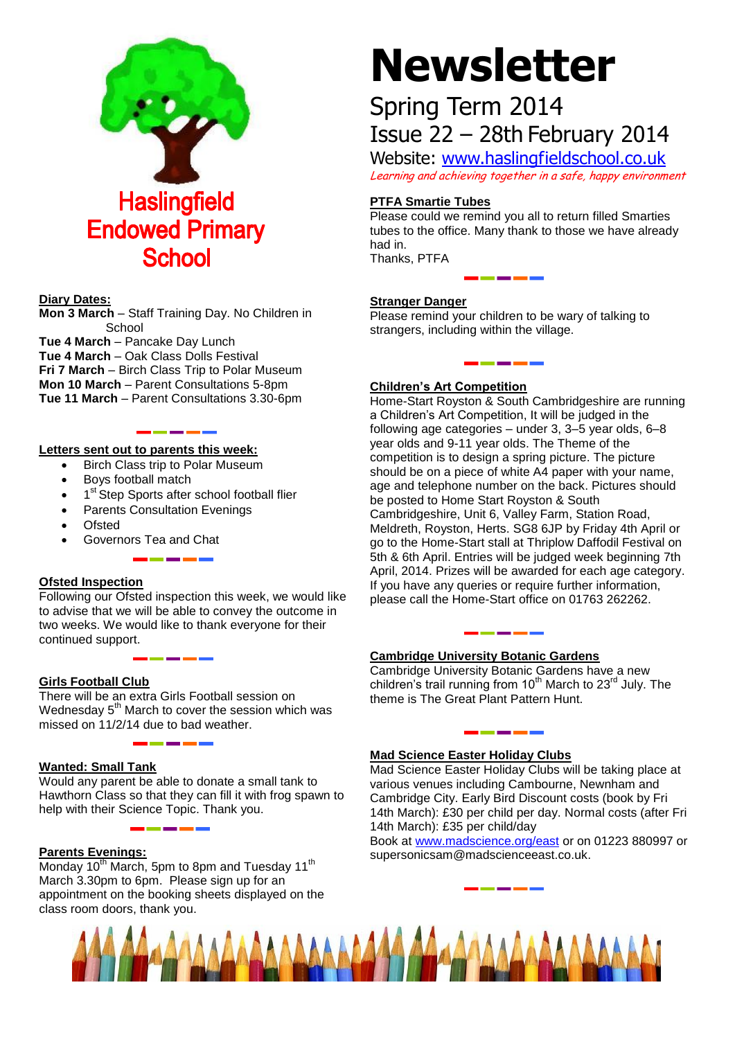

#### **Diary Dates:**

**Mon 3 March** – Staff Training Day. No Children in **School** 

**Tue 4 March** – Pancake Day Lunch **Tue 4 March** – Oak Class Dolls Festival **Fri 7 March** – Birch Class Trip to Polar Museum **Mon 10 March** – Parent Consultations 5-8pm **Tue 11 March** – Parent Consultations 3.30-6pm

#### **Letters sent out to parents this week:**

- Birch Class trip to Polar Museum
- Boys football match
- 1<sup>st</sup> Step Sports after school football flier
- Parents Consultation Evenings
- Ofsted
- Governors Tea and Chat

#### **Ofsted Inspection**

Following our Ofsted inspection this week, we would like to advise that we will be able to convey the outcome in two weeks. We would like to thank everyone for their continued support.

#### **Girls Football Club**

There will be an extra Girls Football session on Wednesday  $5<sup>th</sup>$  March to cover the session which was missed on 11/2/14 due to bad weather.

#### **Wanted: Small Tank**

Would any parent be able to donate a small tank to Hawthorn Class so that they can fill it with frog spawn to help with their Science Topic. Thank you.

#### **Parents Evenings:**

Monday 10<sup>th</sup> March, 5pm to 8pm and Tuesday 11<sup>th</sup> March 3.30pm to 6pm. Please sign up for an appointment on the booking sheets displayed on the class room doors, thank you.

# **Newsletter**

## Spring Term 2014 Issue 22 – 28th February 2014

Website: [www.haslingfieldschool.co.uk](http://www.haslingfieldschool.co.uk/) Learning and achieving together in a safe, happy environment

#### **PTFA Smartie Tubes**

Please could we remind you all to return filled Smarties tubes to the office. Many thank to those we have already had in. Thanks, PTFA

### **Stranger Danger**

Please remind your children to be wary of talking to strangers, including within the village.

\_\_\_\_\_\_\_

#### **Children's Art Competition**

Home-Start Royston & South Cambridgeshire are running a Children's Art Competition, It will be judged in the following age categories – under 3, 3–5 year olds, 6–8 year olds and 9-11 year olds. The Theme of the competition is to design a spring picture. The picture should be on a piece of white A4 paper with your name, age and telephone number on the back. Pictures should be posted to Home Start Royston & South Cambridgeshire, Unit 6, Valley Farm, Station Road, Meldreth, Royston, Herts. SG8 6JP by Friday 4th April or go to the Home-Start stall at Thriplow Daffodil Festival on 5th & 6th April. Entries will be judged week beginning 7th April, 2014. Prizes will be awarded for each age category. If you have any queries or require further information, please call the Home-Start office on 01763 262262.

#### **Cambridge University Botanic Gardens**

Cambridge University Botanic Gardens have a new children's trail running from  $10^{th}$  March to  $23^{rd}$  July. The theme is The Great Plant Pattern Hunt.

#### **Mad Science Easter Holiday Clubs**

Mad Science Easter Holiday Clubs will be taking place at various venues including Cambourne, Newnham and Cambridge City. Early Bird Discount costs (book by Fri 14th March): £30 per child per day. Normal costs (after Fri 14th March): £35 per child/day

Book at [www.madscience.org/east](http://www.madscience.org/east) or on 01223 880997 or supersonicsam@madscienceeast.co.uk.